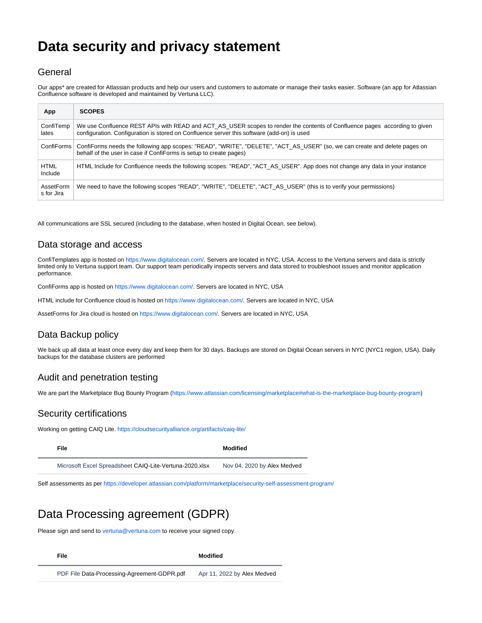# <span id="page-0-0"></span>**Data security and privacy statement**

### **General**

Our apps\* are created for Atlassian products and help our users and customers to automate or manage their tasks easier. Software (an app for Atlassian Confluence software is developed and maintained by Vertuna LLC).

| App                     | <b>SCOPES</b>                                                                                                                                                                                                            |
|-------------------------|--------------------------------------------------------------------------------------------------------------------------------------------------------------------------------------------------------------------------|
| ConfiTemp<br>lates      | We use Confluence REST APIs with READ and ACT_AS_USER scopes to render the contents of Confluence pages according to given<br>configuration. Configuration is stored on Confluence server this software (add-on) is used |
| ConfiForms              | ConfiForms needs the following app scopes: "READ", "WRITE", "DELETE", "ACT_AS_USER" (so, we can create and delete pages on<br>behalf of the user in case if ConfiForms is setup to create pages)                         |
| <b>HTML</b><br>Include  | HTML Include for Confluence needs the following scopes: "READ", "ACT AS USER". App does not change any data in your instance                                                                                             |
| AssetForm<br>s for Jira | We need to have the following scopes "READ", "WRITE", "DELETE", "ACT_AS_USER" (this is to verify your permissions)                                                                                                       |

All communications are SSL secured (including to the database, when hosted in Digital Ocean, see below).

### Data storage and access

ConfiTemplates app is hosted on [https://www.digitalocean.com/.](https://www.digitalocean.com/) Servers are located in NYC, USA. Access to the Vertuna servers and data is strictly limited only to Vertuna support team. Our support team periodically inspects servers and data stored to troubleshoot issues and monitor application performance.

ConfiForms app is hosted on <https://www.digitalocean.com/>. Servers are located in NYC, USA

HTML include for Confluence cloud is hosted on [https://www.digitalocean.com/.](https://www.digitalocean.com/) Servers are located in NYC, USA

AssetForms for Jira cloud is hosted on [https://www.digitalocean.com/.](https://www.digitalocean.com/) Servers are located in NYC, USA

## Data Backup policy

We back up all data at least once every day and keep them for 30 days. Backups are stored on Digital Ocean servers in NYC (NYC1 region, USA). Daily backups for the database clusters are performed

#### Audit and penetration testing

We are part the Marketplace Bug Bounty Program (<https://www.atlassian.com/licensing/marketplace#what-is-the-marketplace-bug-bounty-program>)

#### Security certifications

Working on getting CAIQ Lite.<https://cloudsecurityalliance.org/artifacts/caiq-lite/>

**[File](#page-0-0) [Modified](#page-0-0)**

Microsoft Excel Spreadsheet [CAIQ-Lite-Vertuna-2020.xlsx](https://wiki.vertuna.com/download/attachments/11862581/CAIQ-Lite-Vertuna-2020.xlsx?api=v2) Nov 04, 2020 by Alex Medved

Self assessments as per <https://developer.atlassian.com/platform/marketplace/security-self-assessment-program/>

# Data Processing agreement (GDPR)

Please sign and send to [vertuna@vertuna.com](mailto:vertuna@vertuna.com) to receive your signed copy.

**[File](https://wiki.vertuna.com/display/VERTUNA/Vertuna+Atlassian+Add-ons+EULA?sortBy=name&sortOrder=ascending) [Modified](https://wiki.vertuna.com/display/VERTUNA/Vertuna+Atlassian+Add-ons+EULA?sortBy=date&sortOrder=descending)**

PDF File [Data-Processing-Agreement-GDPR.pdf](https://wiki.vertuna.com/download/attachments/5341810/Data-Processing-Agreement-GDPR.pdf?api=v2) Apr 11, 2022 by Alex Medved